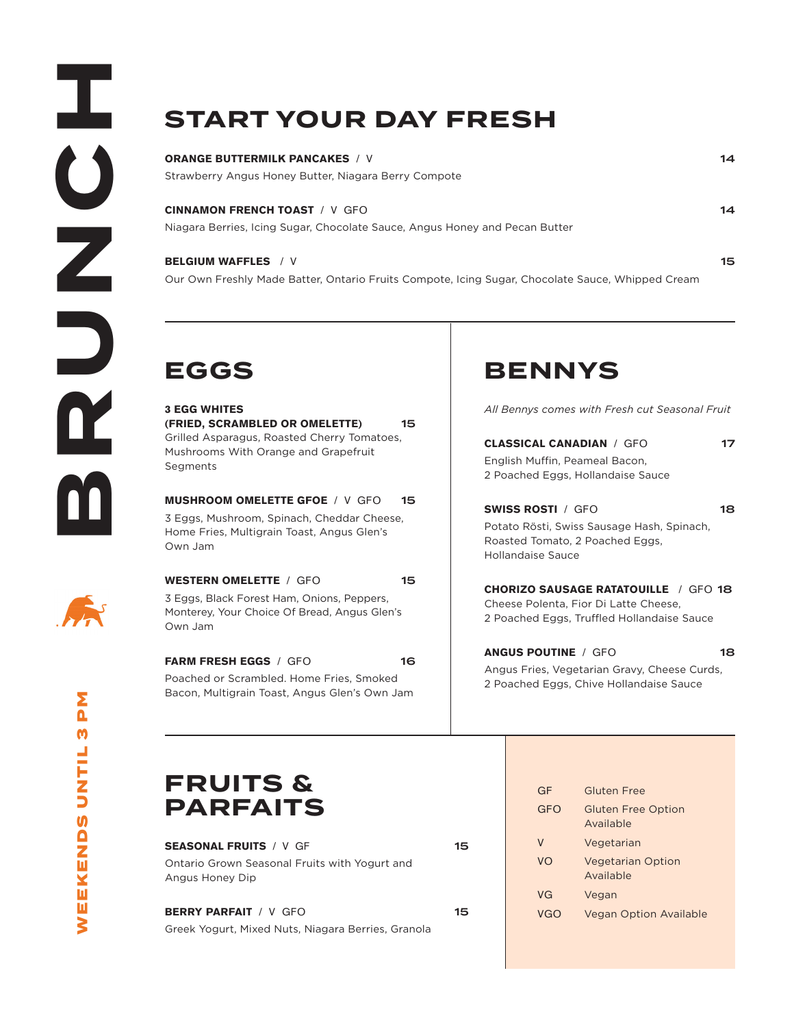ORANGE BUTTERMILK PANCAKES / V 14 Strawberry Angus Honey Butter, Niagara Berry Compote

### **CINNAMON FRENCH TOAST** / V GFO 14

Niagara Berries, Icing Sugar, Chocolate Sauce, Angus Honey and Pecan Butter

### BELGIUM WAFFLES / V 15

Our Own Freshly Made Batter, Ontario Fruits Compote, Icing Sugar, Chocolate Sauce, Whipped Cream

# **EGGS**

3 EGG WHITES (FRIED, SCRAMBLED OR OMELETTE) 15 Grilled Asparagus, Roasted Cherry Tomatoes, Mushrooms With Orange and Grapefruit Segments

MUSHROOM OMELETTE GFOE / V GFO 15 3 Eggs, Mushroom, Spinach, Cheddar Cheese, Home Fries, Multigrain Toast, Angus Glen's Own Jam



**Md** 

M

WEEKENDS UNTIL 3 PM

WEEKENDS UNTIL

### WESTERN OMELETTE / GFO 15 3 Eggs, Black Forest Ham, Onions, Peppers, Monterey, Your Choice Of Bread, Angus Glen's Own Jam

FARM FRESH EGGS / GFO 16 Poached or Scrambled. Home Fries, Smoked Bacon, Multigrain Toast, Angus Glen's Own Jam

# **BENNYS**

*All Bennys comes with Fresh cut Seasonal Fruit*

| <b>CLASSICAL CANADIAN</b> / GFO   | 17 |
|-----------------------------------|----|
| English Muffin, Peameal Bacon,    |    |
| 2 Poached Eggs, Hollandaise Sauce |    |

### SWISS ROSTI / GFO 18

Potato Rösti, Swiss Sausage Hash, Spinach, Roasted Tomato, 2 Poached Eggs, Hollandaise Sauce

CHORIZO SAUSAGE RATATOUILLE / GFO 18 Cheese Polenta, Fior Di Latte Cheese, 2 Poached Eggs, Truffled Hollandaise Sauce

ANGUS POUTINE / GFO 18 Angus Fries, Vegetarian Gravy, Cheese Curds, 2 Poached Eggs, Chive Hollandaise Sauce

# **FRUITS & PARFAITS**

| <b>SEASONAL FRUITS / V GF</b>                 |  |  |
|-----------------------------------------------|--|--|
| Ontario Grown Seasonal Fruits with Yogurt and |  |  |
| Angus Honey Dip                               |  |  |

### BERRY PARFAIT / V GFO 15

Greek Yogurt, Mixed Nuts, Niagara Berries, Granola

GF Gluten Free GFO Gluten Free Option Available V Vegetarian VO Vegetarian Option Available VG Vegan VGO Vegan Option Available